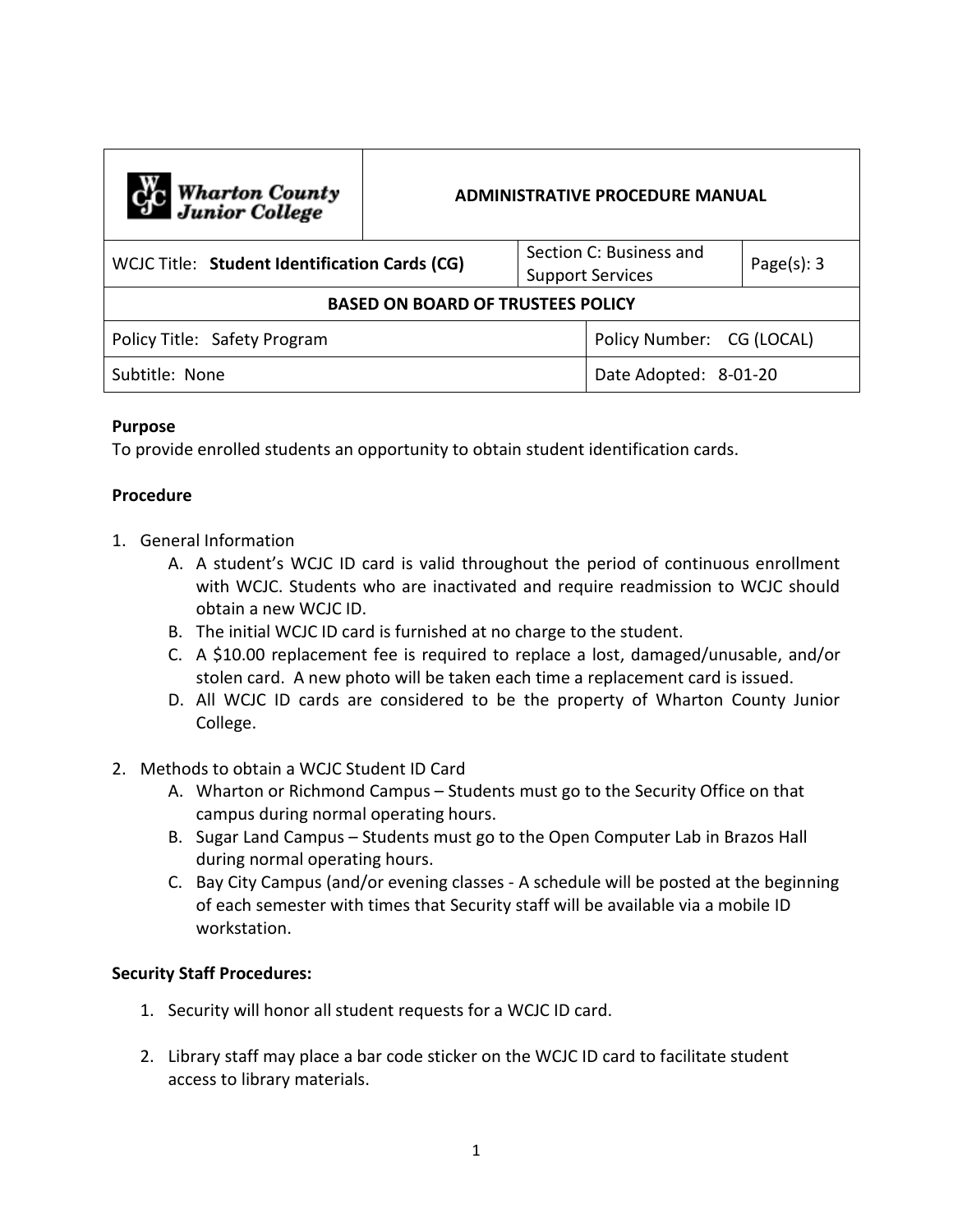| C <sub>1</sub> C Wharton County<br>Junior College | <b>ADMINISTRATIVE PROCEDURE MANUAL</b> |  |                                                    |                |
|---------------------------------------------------|----------------------------------------|--|----------------------------------------------------|----------------|
| WCJC Title: Student Identification Cards (CG)     |                                        |  | Section C: Business and<br><b>Support Services</b> | Page $(s)$ : 3 |
| <b>BASED ON BOARD OF TRUSTEES POLICY</b>          |                                        |  |                                                    |                |
| Policy Title: Safety Program                      |                                        |  | Policy Number: CG (LOCAL)                          |                |
| Subtitle: None                                    |                                        |  | Date Adopted: 8-01-20                              |                |

## **Purpose**

To provide enrolled students an opportunity to obtain student identification cards.

## **Procedure**

- 1. General Information
	- A. A student's WCJC ID card is valid throughout the period of continuous enrollment with WCJC. Students who are inactivated and require readmission to WCJC should obtain a new WCJC ID.
	- B. The initial WCJC ID card is furnished at no charge to the student.
	- C. A \$10.00 replacement fee is required to replace a lost, damaged/unusable, and/or stolen card. A new photo will be taken each time a replacement card is issued.
	- D. All WCJC ID cards are considered to be the property of Wharton County Junior College.
- 2. Methods to obtain a WCJC Student ID Card
	- A. Wharton or Richmond Campus Students must go to the Security Office on that campus during normal operating hours.
	- B. Sugar Land Campus Students must go to the Open Computer Lab in Brazos Hall during normal operating hours.
	- C. Bay City Campus (and/or evening classes A schedule will be posted at the beginning of each semester with times that Security staff will be available via a mobile ID workstation.

## **Security Staff Procedures:**

- 1. Security will honor all student requests for a WCJC ID card.
- 2. Library staff may place a bar code sticker on the WCJC ID card to facilitate student access to library materials.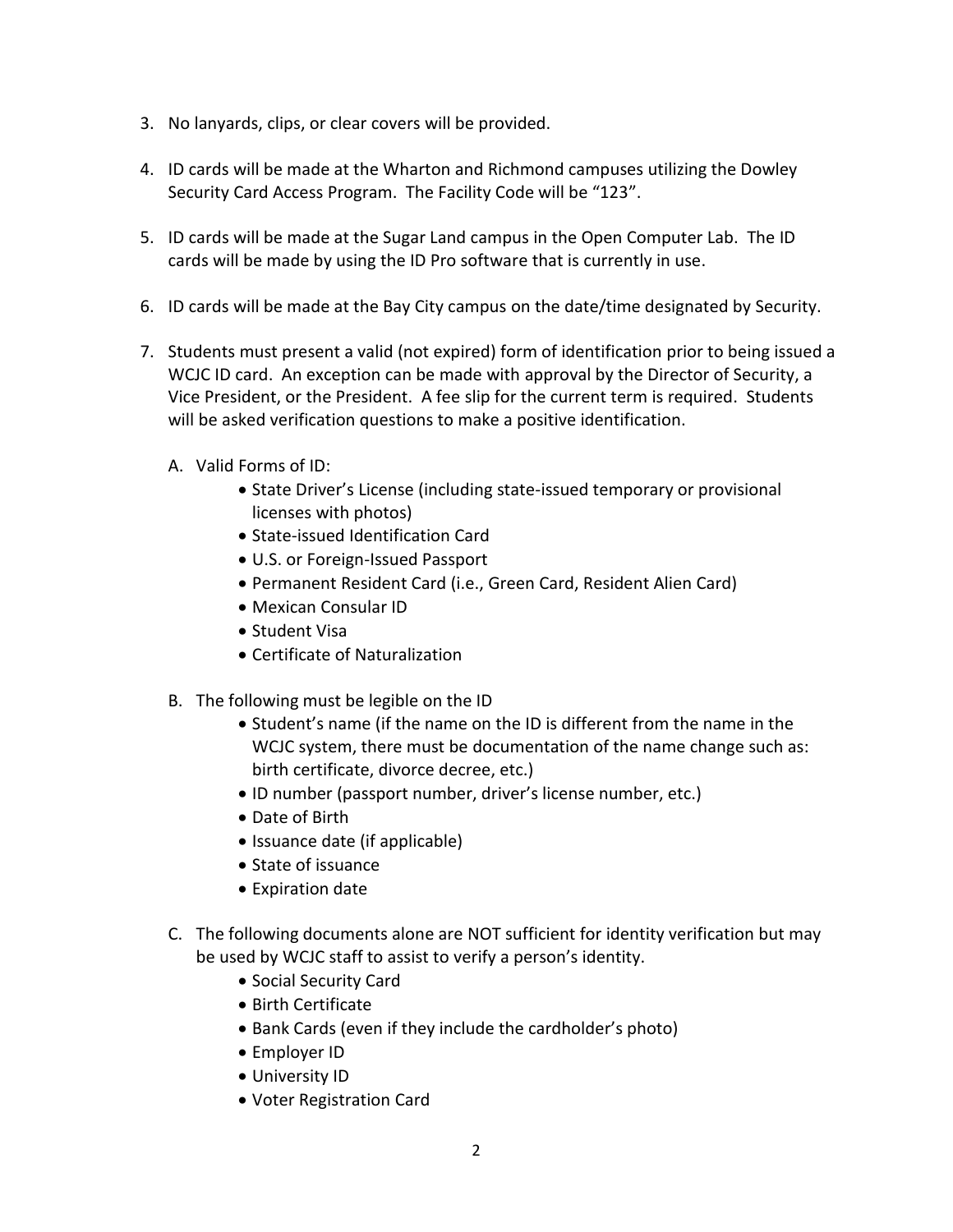- 3. No lanyards, clips, or clear covers will be provided.
- 4. ID cards will be made at the Wharton and Richmond campuses utilizing the Dowley Security Card Access Program. The Facility Code will be "123".
- 5. ID cards will be made at the Sugar Land campus in the Open Computer Lab. The ID cards will be made by using the ID Pro software that is currently in use.
- 6. ID cards will be made at the Bay City campus on the date/time designated by Security.
- 7. Students must present a valid (not expired) form of identification prior to being issued a WCJC ID card. An exception can be made with approval by the Director of Security, a Vice President, or the President. A fee slip for the current term is required. Students will be asked verification questions to make a positive identification.
	- A. Valid Forms of ID:
		- State Driver's License (including state-issued temporary or provisional licenses with photos)
		- State-issued Identification Card
		- U.S. or Foreign-Issued Passport
		- Permanent Resident Card (i.e., Green Card, Resident Alien Card)
		- Mexican Consular ID
		- Student Visa
		- Certificate of Naturalization
	- B. The following must be legible on the ID
		- Student's name (if the name on the ID is different from the name in the WCJC system, there must be documentation of the name change such as: birth certificate, divorce decree, etc.)
		- ID number (passport number, driver's license number, etc.)
		- Date of Birth
		- Issuance date (if applicable)
		- State of issuance
		- Expiration date
	- C. The following documents alone are NOT sufficient for identity verification but may be used by WCJC staff to assist to verify a person's identity.
		- Social Security Card
		- Birth Certificate
		- Bank Cards (even if they include the cardholder's photo)
		- Employer ID
		- University ID
		- Voter Registration Card